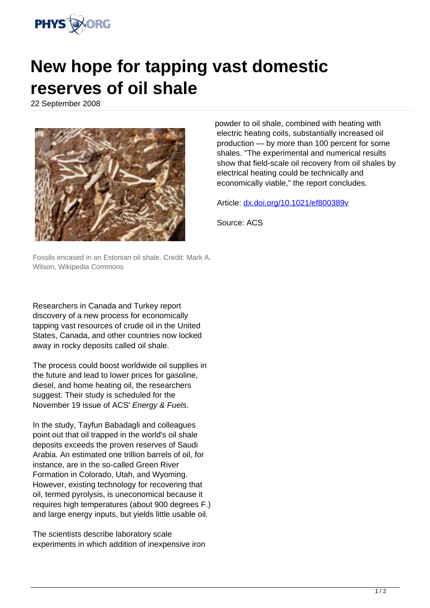

## **New hope for tapping vast domestic reserves of oil shale**

22 September 2008



Fossils encased in an Estonian oil shale. Credit: Mark A. Wilson, Wikipedia Commons

Researchers in Canada and Turkey report discovery of a new process for economically tapping vast resources of crude oil in the United States, Canada, and other countries now locked away in rocky deposits called oil shale.

The process could boost worldwide oil supplies in the future and lead to lower prices for gasoline, diesel, and home heating oil, the researchers suggest. Their study is scheduled for the November 19 issue of ACS' Energy & Fuels.

In the study, Tayfun Babadagli and colleagues point out that oil trapped in the world's oil shale deposits exceeds the proven reserves of Saudi Arabia. An estimated one trillion barrels of oil, for instance, are in the so-called Green River Formation in Colorado, Utah, and Wyoming. However, existing technology for recovering that oil, termed pyrolysis, is uneconomical because it requires high temperatures (about 900 degrees F.) and large energy inputs, but yields little usable oil.

The scientists describe laboratory scale experiments in which addition of inexpensive iron powder to oil shale, combined with heating with electric heating coils, substantially increased oil production — by more than 100 percent for some shales. "The experimental and numerical results show that field-scale oil recovery from oil shales by electrical heating could be technically and economically viable," the report concludes.

Article: [dx.doi.org/10.1021/ef800389v](http://dx.doi.org/10.1021/ef800389v)

Source: ACS